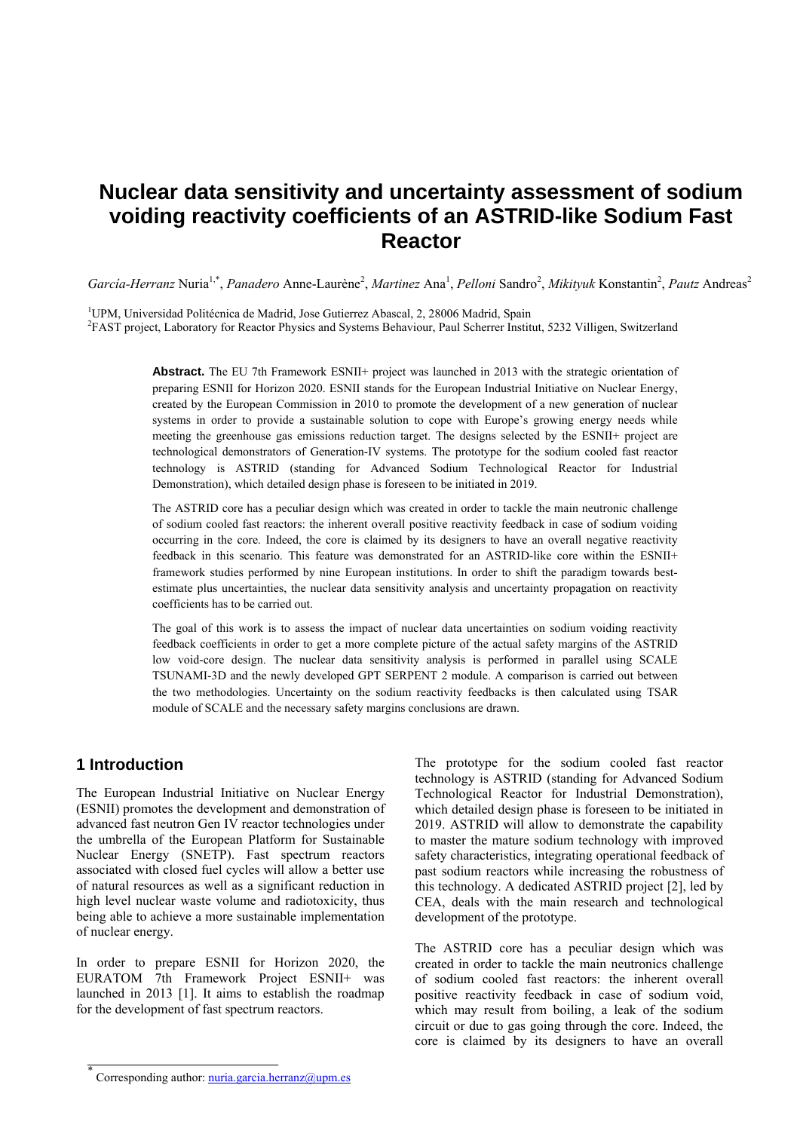# **Nuclear data sensitivity and uncertainty assessment of sodium voiding reactivity coefficients of an ASTRID-like Sodium Fast Reactor**

García-Herranz Nuria<sup>1,\*</sup>, *Panadero* Anne-Laurène<sup>2</sup>, Martinez Ana<sup>1</sup>, *Pelloni* Sandro<sup>2</sup>, Mikityuk Konstantin<sup>2</sup>, *Pautz* Andreas<sup>2</sup>

<sup>1</sup>UPM, Universidad Politécnica de Madrid, Jose Gutierrez Abascal, 2, 28006 Madrid, Spain  ${}^{2}E A ST$  project J abartery for Peoctor Physics and Systems Robertius: Paul Seberrer Institu FAST project, Laboratory for Reactor Physics and Systems Behaviour, Paul Scherrer Institut, 5232 Villigen, Switzerland

> Abstract. The EU 7th Framework ESNII+ project was launched in 2013 with the strategic orientation of preparing ESNII for Horizon 2020. ESNII stands for the European Industrial Initiative on Nuclear Energy, created by the European Commission in 2010 to promote the development of a new generation of nuclear systems in order to provide a sustainable solution to cope with Europe's growing energy needs while meeting the greenhouse gas emissions reduction target. The designs selected by the ESNII+ project are technological demonstrators of Generation-IV systems. The prototype for the sodium cooled fast reactor technology is ASTRID (standing for Advanced Sodium Technological Reactor for Industrial Demonstration), which detailed design phase is foreseen to be initiated in 2019.

> The ASTRID core has a peculiar design which was created in order to tackle the main neutronic challenge of sodium cooled fast reactors: the inherent overall positive reactivity feedback in case of sodium voiding occurring in the core. Indeed, the core is claimed by its designers to have an overall negative reactivity feedback in this scenario. This feature was demonstrated for an ASTRID-like core within the ESNII+ framework studies performed by nine European institutions. In order to shift the paradigm towards bestestimate plus uncertainties, the nuclear data sensitivity analysis and uncertainty propagation on reactivity coefficients has to be carried out.

> The goal of this work is to assess the impact of nuclear data uncertainties on sodium voiding reactivity feedback coefficients in order to get a more complete picture of the actual safety margins of the ASTRID low void-core design. The nuclear data sensitivity analysis is performed in parallel using SCALE TSUNAMI-3D and the newly developed GPT SERPENT 2 module. A comparison is carried out between the two methodologies. Uncertainty on the sodium reactivity feedbacks is then calculated using TSAR module of SCALE and the necessary safety margins conclusions are drawn.

### **1 Introduction**

The European Industrial Initiative on Nuclear Energy (ESNII) promotes the development and demonstration of advanced fast neutron Gen IV reactor technologies under the umbrella of the European Platform for Sustainable Nuclear Energy (SNETP). Fast spectrum reactors associated with closed fuel cycles will allow a better use of natural resources as well as a significant reduction in high level nuclear waste volume and radiotoxicity, thus being able to achieve a more sustainable implementation of nuclear energy.

In order to prepare ESNII for Horizon 2020, the EURATOM 7th Framework Project ESNII+ was launched in 2013 [1]. It aims to establish the roadmap for the development of fast spectrum reactors.

The prototype for the sodium cooled fast reactor technology is ASTRID (standing for Advanced Sodium Technological Reactor for Industrial Demonstration), which detailed design phase is foreseen to be initiated in 2019. ASTRID will allow to demonstrate the capability to master the mature sodium technology with improved safety characteristics, integrating operational feedback of past sodium reactors while increasing the robustness of this technology. A dedicated ASTRID project [2], led by CEA, deals with the main research and technological development of the prototype.

The ASTRID core has a peculiar design which was created in order to tackle the main neutronics challenge of sodium cooled fast reactors: the inherent overall positive reactivity feedback in case of sodium void, which may result from boiling, a leak of the sodium circuit or due to gas going through the core. Indeed, the core is claimed by its designers to have an overall

<sup>\*</sup> Corresponding author: nuria.garcia.herranz@upm.es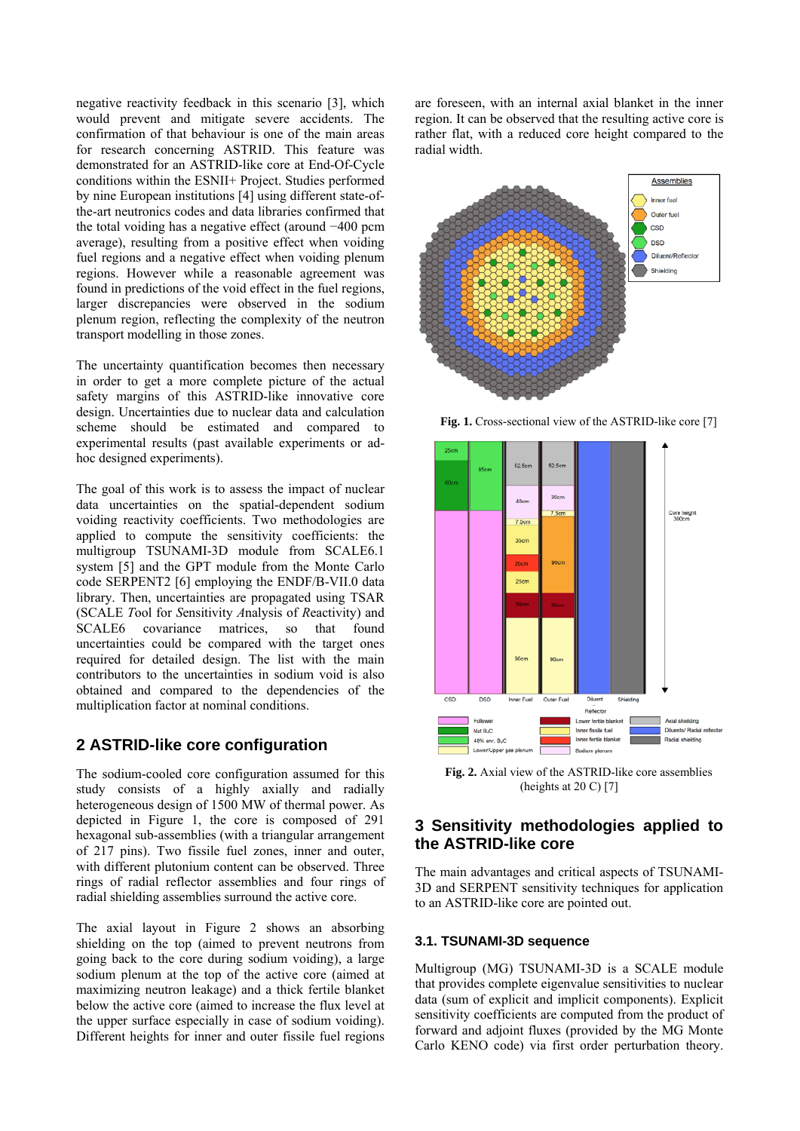negative reactivity feedback in this scenario [3], which would prevent and mitigate severe accidents. The confirmation of that behaviour is one of the main areas for research concerning ASTRID. This feature was demonstrated for an ASTRID-like core at End-Of-Cycle conditions within the ESNII+ Project. Studies performed by nine European institutions [4] using different state-ofthe-art neutronics codes and data libraries confirmed that the total voiding has a negative effect (around −400 pcm average), resulting from a positive effect when voiding fuel regions and a negative effect when voiding plenum regions. However while a reasonable agreement was found in predictions of the void effect in the fuel regions, larger discrepancies were observed in the sodium plenum region, reflecting the complexity of the neutron transport modelling in those zones.

The uncertainty quantification becomes then necessary in order to get a more complete picture of the actual safety margins of this ASTRID-like innovative core design. Uncertainties due to nuclear data and calculation scheme should be estimated and compared to experimental results (past available experiments or adhoc designed experiments).

The goal of this work is to assess the impact of nuclear data uncertainties on the spatial-dependent sodium voiding reactivity coefficients. Two methodologies are applied to compute the sensitivity coefficients: the multigroup TSUNAMI-3D module from SCALE6.1 system [5] and the GPT module from the Monte Carlo code SERPENT2 [6] employing the ENDF/B-VII.0 data library. Then, uncertainties are propagated using TSAR (SCALE *T*ool for *S*ensitivity *A*nalysis of *R*eactivity) and SCALE6 covariance matrices, so that found uncertainties could be compared with the target ones required for detailed design. The list with the main contributors to the uncertainties in sodium void is also obtained and compared to the dependencies of the multiplication factor at nominal conditions.

#### **2 ASTRID-like core configuration**

The sodium-cooled core configuration assumed for this study consists of a highly axially and radially heterogeneous design of 1500 MW of thermal power. As depicted in Figure 1, the core is composed of 291 hexagonal sub-assemblies (with a triangular arrangement of 217 pins). Two fissile fuel zones, inner and outer, with different plutonium content can be observed. Three rings of radial reflector assemblies and four rings of radial shielding assemblies surround the active core.

The axial layout in Figure 2 shows an absorbing shielding on the top (aimed to prevent neutrons from going back to the core during sodium voiding), a large sodium plenum at the top of the active core (aimed at maximizing neutron leakage) and a thick fertile blanket below the active core (aimed to increase the flux level at the upper surface especially in case of sodium voiding). Different heights for inner and outer fissile fuel regions

are foreseen, with an internal axial blanket in the inner region. It can be observed that the resulting active core is rather flat, with a reduced core height compared to the radial width.



**Fig. 1.** Cross-sectional view of the ASTRID-like core [7]



**Fig. 2.** Axial view of the ASTRID-like core assemblies (heights at 20 C) [7]

### **3 Sensitivity methodologies applied to the ASTRID-like core**

The main advantages and critical aspects of TSUNAMI-3D and SERPENT sensitivity techniques for application to an ASTRID-like core are pointed out.

#### **3.1. TSUNAMI-3D sequence**

Multigroup (MG) TSUNAMI-3D is a SCALE module that provides complete eigenvalue sensitivities to nuclear data (sum of explicit and implicit components). Explicit sensitivity coefficients are computed from the product of forward and adjoint fluxes (provided by the MG Monte Carlo KENO code) via first order perturbation theory.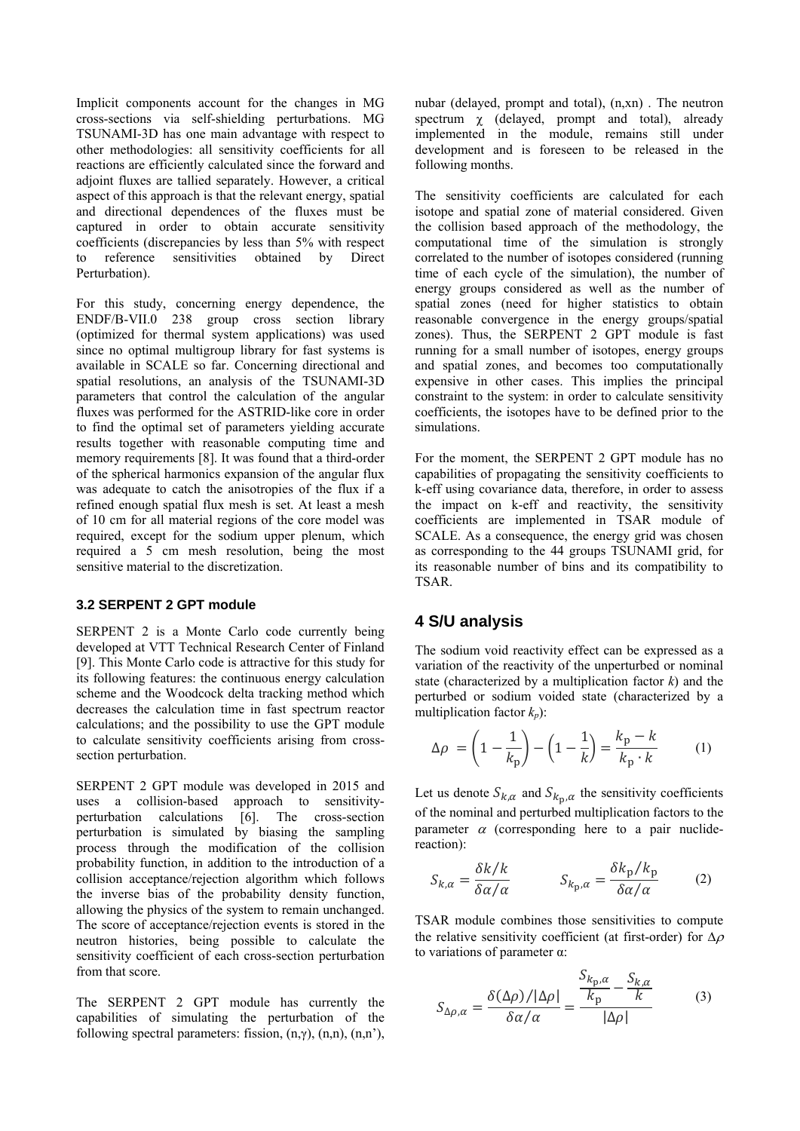Implicit components account for the changes in MG cross-sections via self-shielding perturbations. MG TSUNAMI-3D has one main advantage with respect to other methodologies: all sensitivity coefficients for all reactions are efficiently calculated since the forward and adjoint fluxes are tallied separately. However, a critical aspect of this approach is that the relevant energy, spatial and directional dependences of the fluxes must be captured in order to obtain accurate sensitivity coefficients (discrepancies by less than 5% with respect to reference sensitivities obtained by Direct Perturbation).

For this study, concerning energy dependence, the ENDF/B-VII.0 238 group cross section library (optimized for thermal system applications) was used since no optimal multigroup library for fast systems is available in SCALE so far. Concerning directional and spatial resolutions, an analysis of the TSUNAMI-3D parameters that control the calculation of the angular fluxes was performed for the ASTRID-like core in order to find the optimal set of parameters yielding accurate results together with reasonable computing time and memory requirements [8]. It was found that a third-order of the spherical harmonics expansion of the angular flux was adequate to catch the anisotropies of the flux if a refined enough spatial flux mesh is set. At least a mesh of 10 cm for all material regions of the core model was required, except for the sodium upper plenum, which required a 5 cm mesh resolution, being the most sensitive material to the discretization.

#### **3.2 SERPENT 2 GPT module**

SERPENT 2 is a Monte Carlo code currently being developed at VTT Technical Research Center of Finland [9]. This Monte Carlo code is attractive for this study for its following features: the continuous energy calculation scheme and the Woodcock delta tracking method which decreases the calculation time in fast spectrum reactor calculations; and the possibility to use the GPT module to calculate sensitivity coefficients arising from crosssection perturbation.

SERPENT 2 GPT module was developed in 2015 and uses a collision-based approach to sensitivityperturbation calculations [6]. The cross-section perturbation is simulated by biasing the sampling process through the modification of the collision probability function, in addition to the introduction of a collision acceptance/rejection algorithm which follows the inverse bias of the probability density function, allowing the physics of the system to remain unchanged. The score of acceptance/rejection events is stored in the neutron histories, being possible to calculate the sensitivity coefficient of each cross-section perturbation from that score.

The SERPENT 2 GPT module has currently the capabilities of simulating the perturbation of the following spectral parameters: fission,  $(n, \gamma)$ ,  $(n, n)$ ,  $(n, n')$ , nubar (delayed, prompt and total), (n,xn) . The neutron spectrum  $\chi$  (delayed, prompt and total), already implemented in the module, remains still under development and is foreseen to be released in the following months.

The sensitivity coefficients are calculated for each isotope and spatial zone of material considered. Given the collision based approach of the methodology, the computational time of the simulation is strongly correlated to the number of isotopes considered (running time of each cycle of the simulation), the number of energy groups considered as well as the number of spatial zones (need for higher statistics to obtain reasonable convergence in the energy groups/spatial zones). Thus, the SERPENT 2 GPT module is fast running for a small number of isotopes, energy groups and spatial zones, and becomes too computationally expensive in other cases. This implies the principal constraint to the system: in order to calculate sensitivity coefficients, the isotopes have to be defined prior to the simulations.

For the moment, the SERPENT 2 GPT module has no capabilities of propagating the sensitivity coefficients to k-eff using covariance data, therefore, in order to assess the impact on k-eff and reactivity, the sensitivity coefficients are implemented in TSAR module of SCALE. As a consequence, the energy grid was chosen as corresponding to the 44 groups TSUNAMI grid, for its reasonable number of bins and its compatibility to TSAR.

### **4 S/U analysis**

The sodium void reactivity effect can be expressed as a variation of the reactivity of the unperturbed or nominal state (characterized by a multiplication factor *k*) and the perturbed or sodium voided state (characterized by a multiplication factor  $k_p$ ):

$$
\Delta \rho = \left(1 - \frac{1}{k_{\rm p}}\right) - \left(1 - \frac{1}{k}\right) = \frac{k_{\rm p} - k}{k_{\rm p} \cdot k} \tag{1}
$$

Let us denote  $S_{k,\alpha}$  and  $S_{k,\alpha}$  the sensitivity coefficients of the nominal and perturbed multiplication factors to the parameter  $\alpha$  (corresponding here to a pair nuclidereaction):

$$
S_{k,\alpha} = \frac{\delta k / k}{\delta \alpha / \alpha} \qquad S_{k_{\rm p},\alpha} = \frac{\delta k_{\rm p} / k_{\rm p}}{\delta \alpha / \alpha} \qquad (2)
$$

TSAR module combines those sensitivities to compute the relative sensitivity coefficient (at first-order) for  $\Delta \rho$ to variations of parameter α:

$$
S_{\Delta\rho,\alpha} = \frac{\delta(\Delta\rho)/|\Delta\rho|}{\delta\alpha/\alpha} = \frac{\frac{S_{k_{\rm p},\alpha}}{k_{\rm p}} - \frac{S_{k,\alpha}}{k}}{|\Delta\rho|} \tag{3}
$$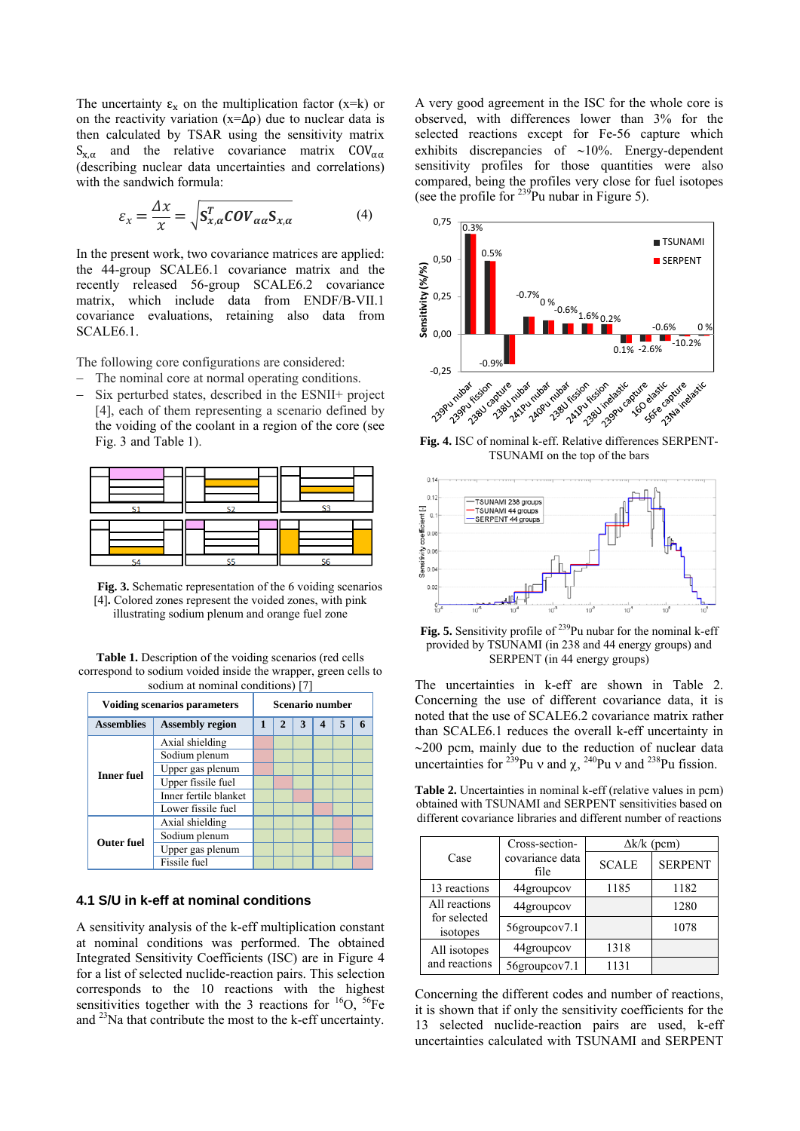The uncertainty  $\varepsilon_x$  on the multiplication factor (x=k) or on the reactivity variation  $(x=\Delta \rho)$  due to nuclear data is then calculated by TSAR using the sensitivity matrix  $S_{x,\alpha}$  and the relative covariance matrix COV<sub> $\alpha\alpha$ </sub> (describing nuclear data uncertainties and correlations) with the sandwich formula:

$$
\varepsilon_{x} = \frac{\Delta x}{x} = \sqrt{\mathbf{S}_{x,\alpha}^{T} \mathbf{COV}_{\alpha\alpha} \mathbf{S}_{x,\alpha}}
$$
(4)

In the present work, two covariance matrices are applied: the 44-group SCALE6.1 covariance matrix and the recently released 56-group SCALE6.2 covariance matrix, which include data from ENDF/B-VII.1 covariance evaluations, retaining also data from SCALE6.1.

The following core configurations are considered:

- The nominal core at normal operating conditions.
- Six perturbed states, described in the ESNII+ project [4], each of them representing a scenario defined by the voiding of the coolant in a region of the core (see Fig. 3 and Table 1).



**Fig. 3.** Schematic representation of the 6 voiding scenarios [4]**.** Colored zones represent the voided zones, with pink illustrating sodium plenum and orange fuel zone

**Table 1.** Description of the voiding scenarios (red cells correspond to sodium voided inside the wrapper, green cells to sodium at nominal conditions) [7]

| <b>Voiding scenarios parameters</b> |                        |              | <b>Scenario number</b> |   |  |                          |   |  |  |  |
|-------------------------------------|------------------------|--------------|------------------------|---|--|--------------------------|---|--|--|--|
| <b>Assemblies</b>                   | <b>Assembly region</b> | $\mathbf{1}$ | $\mathbf{2}$           | 3 |  | $\overline{\phantom{a}}$ | 6 |  |  |  |
| <b>Inner fuel</b>                   | Axial shielding        |              |                        |   |  |                          |   |  |  |  |
|                                     | Sodium plenum          |              |                        |   |  |                          |   |  |  |  |
|                                     | Upper gas plenum       |              |                        |   |  |                          |   |  |  |  |
|                                     | Upper fissile fuel     |              |                        |   |  |                          |   |  |  |  |
|                                     | Inner fertile blanket  |              |                        |   |  |                          |   |  |  |  |
|                                     | Lower fissile fuel     |              |                        |   |  |                          |   |  |  |  |
| <b>Outer fuel</b>                   | Axial shielding        |              |                        |   |  |                          |   |  |  |  |
|                                     | Sodium plenum          |              |                        |   |  |                          |   |  |  |  |
|                                     | Upper gas plenum       |              |                        |   |  |                          |   |  |  |  |
|                                     | Fissile fuel           |              |                        |   |  |                          |   |  |  |  |

#### **4.1 S/U in k-eff at nominal conditions**

A sensitivity analysis of the k-eff multiplication constant at nominal conditions was performed. The obtained Integrated Sensitivity Coefficients (ISC) are in Figure 4 for a list of selected nuclide-reaction pairs. This selection corresponds to the 10 reactions with the highest sensitivities together with the 3 reactions for  ${}^{16}O$ ,  ${}^{56}Fe$ and 23Na that contribute the most to the k-eff uncertainty.

A very good agreement in the ISC for the whole core is observed, with differences lower than 3% for the selected reactions except for Fe-56 capture which exhibits discrepancies of  $~10\%$ . Energy-dependent sensitivity profiles for those quantities were also compared, being the profiles very close for fuel isotopes (see the profile for  $^{239}$ Pu nubar in Figure 5).



TSUNAMI on the top of the bars



Fig. 5. Sensitivity profile of <sup>239</sup>Pu nubar for the nominal k-eff provided by TSUNAMI (in 238 and 44 energy groups) and SERPENT (in 44 energy groups)

The uncertainties in k-eff are shown in Table 2. Concerning the use of different covariance data, it is noted that the use of SCALE6.2 covariance matrix rather than SCALE6.1 reduces the overall k-eff uncertainty in  $\sim$ 200 pcm, mainly due to the reduction of nuclear data uncertainties for <sup>239</sup>Pu v and  $\chi$ , <sup>240</sup>Pu v and <sup>238</sup>Pu fission.

**Table 2.** Uncertainties in nominal k-eff (relative values in pcm) obtained with TSUNAMI and SERPENT sensitivities based on different covariance libraries and different number of reactions

|                                           | Cross-section-          | $\Delta k / k$ (pcm) |                |  |  |  |
|-------------------------------------------|-------------------------|----------------------|----------------|--|--|--|
| Case                                      | covariance data<br>file | <b>SCALE</b>         | <b>SERPENT</b> |  |  |  |
| 13 reactions                              | 44groupcov              | 1185                 | 1182           |  |  |  |
| All reactions<br>for selected<br>isotopes | 44groupcov              |                      | 1280           |  |  |  |
|                                           | 56groupcov7.1           |                      | 1078           |  |  |  |
| All isotopes<br>and reactions             | 44groupcov              | 1318                 |                |  |  |  |
|                                           | 56groupcov7.1           | 1131                 |                |  |  |  |

Concerning the different codes and number of reactions, it is shown that if only the sensitivity coefficients for the 13 selected nuclide-reaction pairs are used, k-eff uncertainties calculated with TSUNAMI and SERPENT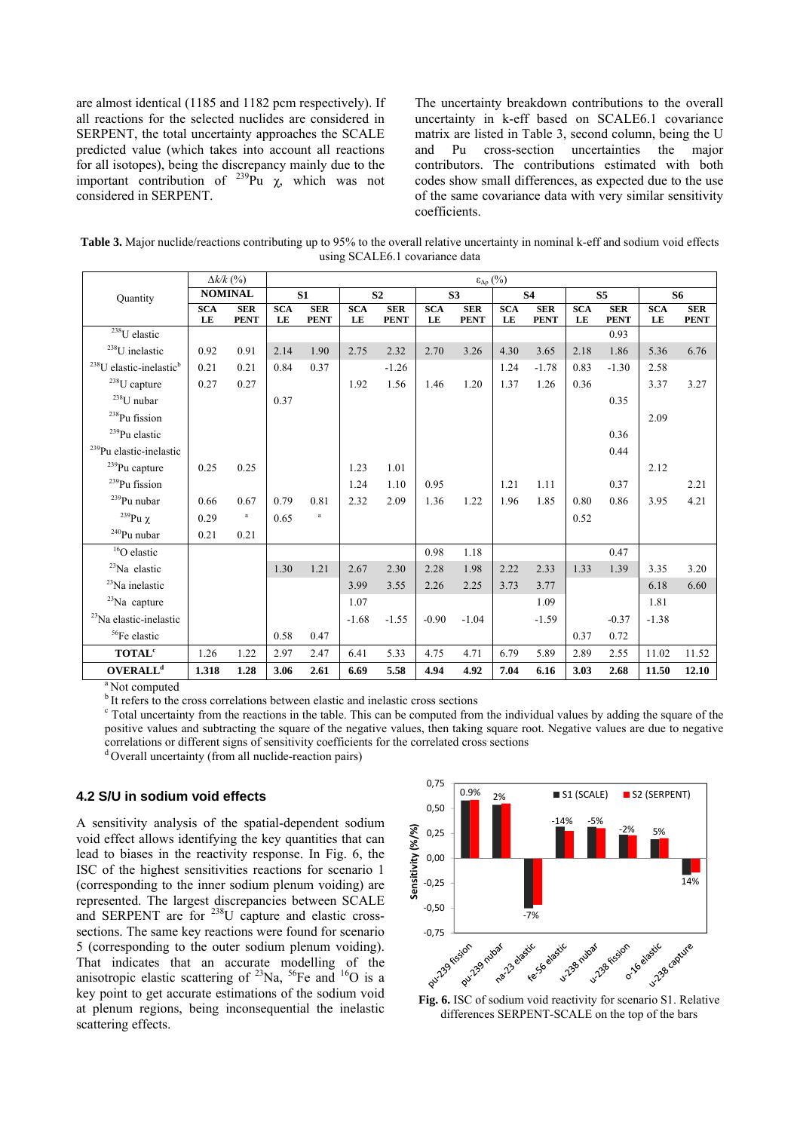are almost identical (1185 and 1182 pcm respectively). If all reactions for the selected nuclides are considered in SERPENT, the total uncertainty approaches the SCALE predicted value (which takes into account all reactions for all isotopes), being the discrepancy mainly due to the important contribution of  $^{239}$ Pu  $\chi$ , which was not considered in SERPENT.

The uncertainty breakdown contributions to the overall uncertainty in k-eff based on SCALE6.1 covariance matrix are listed in Table 3, second column, being the U and Pu cross-section uncertainties the major contributors. The contributions estimated with both codes show small differences, as expected due to the use of the same covariance data with very similar sensitivity coefficients.

**Table 3.** Major nuclide/reactions contributing up to 95% to the overall relative uncertainty in nominal k-eff and sodium void effects using SCALE6.1 covariance data

|                                                 |                  | $\Delta k/k$ (%)          |           |                           |                  |                           |                  | $\epsilon_{\Delta\rho}$ (%) |                  |                           |                  |                           |                  |                           |  |
|-------------------------------------------------|------------------|---------------------------|-----------|---------------------------|------------------|---------------------------|------------------|-----------------------------|------------------|---------------------------|------------------|---------------------------|------------------|---------------------------|--|
| Quantity                                        |                  | <b>NOMINAL</b>            |           | S1                        |                  | S <sub>2</sub>            |                  | S <sub>3</sub>              |                  | <b>S4</b>                 |                  | S <sub>5</sub>            |                  | <b>S6</b>                 |  |
|                                                 | <b>SCA</b><br>LE | <b>SER</b><br><b>PENT</b> | SCA<br>LE | <b>SER</b><br><b>PENT</b> | <b>SCA</b><br>LE | <b>SER</b><br><b>PENT</b> | <b>SCA</b><br>LE | <b>SER</b><br><b>PENT</b>   | <b>SCA</b><br>LE | <b>SER</b><br><b>PENT</b> | <b>SCA</b><br>LE | <b>SER</b><br><b>PENT</b> | <b>SCA</b><br>LE | <b>SER</b><br><b>PENT</b> |  |
| $238$ U elastic                                 |                  |                           |           |                           |                  |                           |                  |                             |                  |                           |                  | 0.93                      |                  |                           |  |
| <sup>238</sup> U inelastic                      | 0.92             | 0.91                      | 2.14      | 1.90                      | 2.75             | 2.32                      | 2.70             | 3.26                        | 4.30             | 3.65                      | 2.18             | 1.86                      | 5.36             | 6.76                      |  |
| <sup>238</sup> U elastic-inelastic <sup>b</sup> | 0.21             | 0.21                      | 0.84      | 0.37                      |                  | $-1.26$                   |                  |                             | 1.24             | $-1.78$                   | 0.83             | $-1.30$                   | 2.58             |                           |  |
| $^{238}$ U capture                              | 0.27             | 0.27                      |           |                           | 1.92             | 1.56                      | 1.46             | 1.20                        | 1.37             | 1.26                      | 0.36             |                           | 3.37             | 3.27                      |  |
| $^{238}\! \mathrm{U}$ nubar                     |                  |                           | 0.37      |                           |                  |                           |                  |                             |                  |                           |                  | 0.35                      |                  |                           |  |
| $^{238}\rm{Pu}$ fission                         |                  |                           |           |                           |                  |                           |                  |                             |                  |                           |                  |                           | 2.09             |                           |  |
| <sup>239</sup> Pu elastic                       |                  |                           |           |                           |                  |                           |                  |                             |                  |                           |                  | 0.36                      |                  |                           |  |
| <sup>239</sup> Pu elastic-inelastic             |                  |                           |           |                           |                  |                           |                  |                             |                  |                           |                  | 0.44                      |                  |                           |  |
| <sup>239</sup> Pu capture                       | 0.25             | 0.25                      |           |                           | 1.23             | 1.01                      |                  |                             |                  |                           |                  |                           | 2.12             |                           |  |
| <sup>239</sup> Pu fission                       |                  |                           |           |                           | 1.24             | 1.10                      | 0.95             |                             | 1.21             | 1.11                      |                  | 0.37                      |                  | 2.21                      |  |
| $^{239}$ Pu nubar                               | 0.66             | 0.67                      | 0.79      | 0.81                      | 2.32             | 2.09                      | 1.36             | 1.22                        | 1.96             | 1.85                      | 0.80             | 0.86                      | 3.95             | 4.21                      |  |
| <sup>239</sup> Pu $\chi$                        | 0.29             | $\rm{a}$                  | 0.65      | $\mathbf{a}$              |                  |                           |                  |                             |                  |                           | 0.52             |                           |                  |                           |  |
| $\mathrm{^{240}Pu}$ nubar                       | 0.21             | 0.21                      |           |                           |                  |                           |                  |                             |                  |                           |                  |                           |                  |                           |  |
| <sup>16</sup> O elastic                         |                  |                           |           |                           |                  |                           | 0.98             | 1.18                        |                  |                           |                  | 0.47                      |                  |                           |  |
| $23$ Na elastic                                 |                  |                           | 1.30      | 1.21                      | 2.67             | 2.30                      | 2.28             | 1.98                        | 2.22             | 2.33                      | 1.33             | 1.39                      | 3.35             | 3.20                      |  |
| $23$ Na inelastic                               |                  |                           |           |                           | 3.99             | 3.55                      | 2.26             | 2.25                        | 3.73             | 3.77                      |                  |                           | 6.18             | 6.60                      |  |
| $23$ Na capture                                 |                  |                           |           |                           | 1.07             |                           |                  |                             |                  | 1.09                      |                  |                           | 1.81             |                           |  |
| $23$ Na elastic-inelastic                       |                  |                           |           |                           | $-1.68$          | $-1.55$                   | $-0.90$          | $-1.04$                     |                  | $-1.59$                   |                  | $-0.37$                   | $-1.38$          |                           |  |
| <sup>56</sup> Fe elastic                        |                  |                           | 0.58      | 0.47                      |                  |                           |                  |                             |                  |                           | 0.37             | 0.72                      |                  |                           |  |
| <b>TOTAL</b> <sup>c</sup>                       | 1.26             | 1.22                      | 2.97      | 2.47                      | 6.41             | 5.33                      | 4.75             | 4.71                        | 6.79             | 5.89                      | 2.89             | 2.55                      | 11.02            | 11.52                     |  |
| OVERALL <sup>d</sup>                            | 1.318            | 1.28                      | 3.06      | 2.61                      | 6.69             | 5.58                      | 4.94             | 4.92                        | 7.04             | 6.16                      | 3.03             | 2.68                      | 11.50            | 12.10                     |  |

<sup>a</sup> Not computed

b It refers to the cross correlations between elastic and inelastic cross sections

 $\epsilon$  Total uncertainty from the reactions in the table. This can be computed from the individual values by adding the square of the positive values and subtracting the square of the negative values, then taking square root. Negative values are due to negative correlations or different signs of sensitivity coefficients for the correlated cross sections  $d$  Overall uncertainty (from all nuclide-reaction pairs)

#### **4.2 S/U in sodium void effects**

A sensitivity analysis of the spatial-dependent sodium void effect allows identifying the key quantities that can lead to biases in the reactivity response. In Fig. 6, the ISC of the highest sensitivities reactions for scenario 1 (corresponding to the inner sodium plenum voiding) are represented. The largest discrepancies between SCALE and SERPENT are for <sup>238</sup>U capture and elastic crosssections. The same key reactions were found for scenario 5 (corresponding to the outer sodium plenum voiding). That indicates that an accurate modelling of the anisotropic elastic scattering of  $^{23}$ Na,  $^{56}$ Fe and  $^{16}$ O is a key point to get accurate estimations of the sodium void at plenum regions, being inconsequential the inelastic scattering effects.